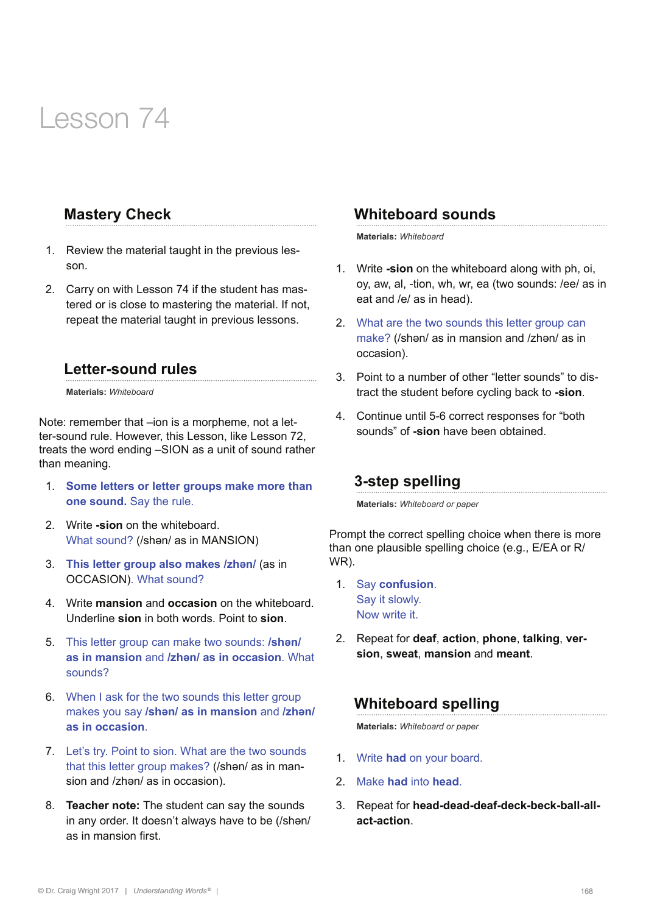# Lesson 74

## **Mastery Check**

- 1. Review the material taught in the previous lesson.
- 2. Carry on with Lesson 74 if the student has mastered or is close to mastering the material. If not, repeat the material taught in previous lessons.

#### **Letter-sound rules**

**Materials:** *Whiteboard* 

Note: remember that –ion is a morpheme, not a letter-sound rule. However, this Lesson, like Lesson 72, treats the word ending –SION as a unit of sound rather than meaning.

- 1. **Some letters or letter groups make more than one sound.** Say the rule.
- 2. Write **-sion** on the whiteboard. What sound? (/shən/ as in MANSION)
- 3. **This letter group also makes /zhən/** (as in OCCASION). What sound?
- 4. Write **mansion** and **occasion** on the whiteboard. Underline **sion** in both words. Point to **sion**.
- 5. This letter group can make two sounds: **/shən/ as in mansion** and **/zhən/ as in occasion**. What sounds?
- 6. When I ask for the two sounds this letter group makes you say **/shən/ as in mansion** and **/zhən/ as in occasion**.
- 7. Let's try. Point to sion. What are the two sounds that this letter group makes? (/shən/ as in mansion and /zhən/ as in occasion).
- 8. **Teacher note:** The student can say the sounds in any order. It doesn't always have to be (/shən/ as in mansion first.

## **Whiteboard sounds**

**Materials:** *Whiteboard* 

- 1. Write **-sion** on the whiteboard along with ph, oi, oy, aw, al, -tion, wh, wr, ea (two sounds: /ee/ as in eat and /e/ as in head).
- 2. What are the two sounds this letter group can make? (/shən/ as in mansion and /zhən/ as in occasion).
- 3. Point to a number of other "letter sounds" to distract the student before cycling back to **-sion**.
- 4. Continue until 5-6 correct responses for "both sounds" of **-sion** have been obtained.

#### **3-step spelling**

**Materials:** *Whiteboard or paper*

Prompt the correct spelling choice when there is more than one plausible spelling choice (e.g., E/EA or R/ WR).

- 1. Say **confusion**. Say it slowly. Now write it.
- 2. Repeat for **deaf**, **action**, **phone**, **talking**, **version**, **sweat**, **mansion** and **meant**.

# **Whiteboard spelling**

**Materials:** *Whiteboard or paper*

- 1. Write **had** on your board.
- 2. Make **had** into **head**.
- 3. Repeat for **head-dead-deaf-deck-beck-ball-allact-action**.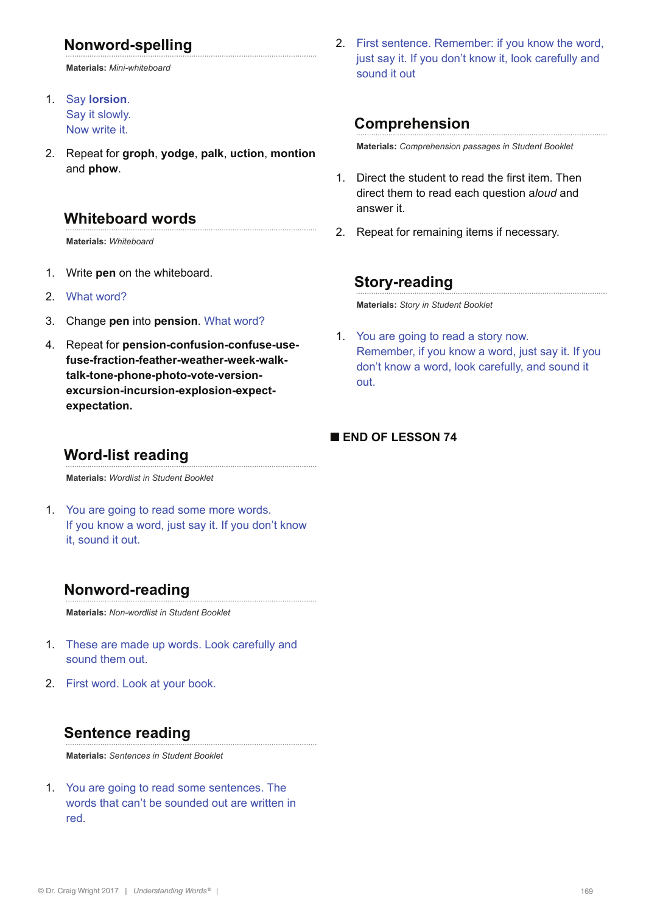# **Nonword-spelling**

**Materials:** *Mini-whiteboard*

- 1. Say **lorsion**. Say it slowly. Now write it.
- 2. Repeat for **groph**, **yodge**, **palk**, **uction**, **montion** and **phow**.

#### **Whiteboard words**

**Materials:** *Whiteboard*

- 1. Write **pen** on the whiteboard.
- 2. What word?
- 3. Change **pen** into **pension**. What word?
- 4. Repeat for **pension-confusion-confuse-usefuse-fraction-feather-weather-week-walktalk-tone-phone-photo-vote-versionexcursion-incursion-explosion-expectexpectation.**
	- **Word-list reading**

**Materials:** *Wordlist in Student Booklet*

1. You are going to read some more words. If you know a word, just say it. If you don't know it, sound it out.

# **Nonword-reading**

**Materials:** *Non-wordlist in Student Booklet*

- 1. These are made up words. Look carefully and sound them out.
- 2. First word. Look at your book.

# **Sentence reading**

**Materials:** *Sentences in Student Booklet*

1. You are going to read some sentences. The words that can't be sounded out are written in red.

2. First sentence. Remember: if you know the word, just say it. If you don't know it, look carefully and sound it out

# **Comprehension**

**Materials:** *Comprehension passages in Student Booklet*

- 1. Direct the student to read the first item. Then direct them to read each question a*loud* and answer it.
- 2. Repeat for remaining items if necessary.

## **Story-reading**

**Materials:** *Story in Student Booklet* 

1. You are going to read a story now. Remember, if you know a word, just say it. If you don't know a word, look carefully, and sound it out.

#### **■ END OF LESSON 74**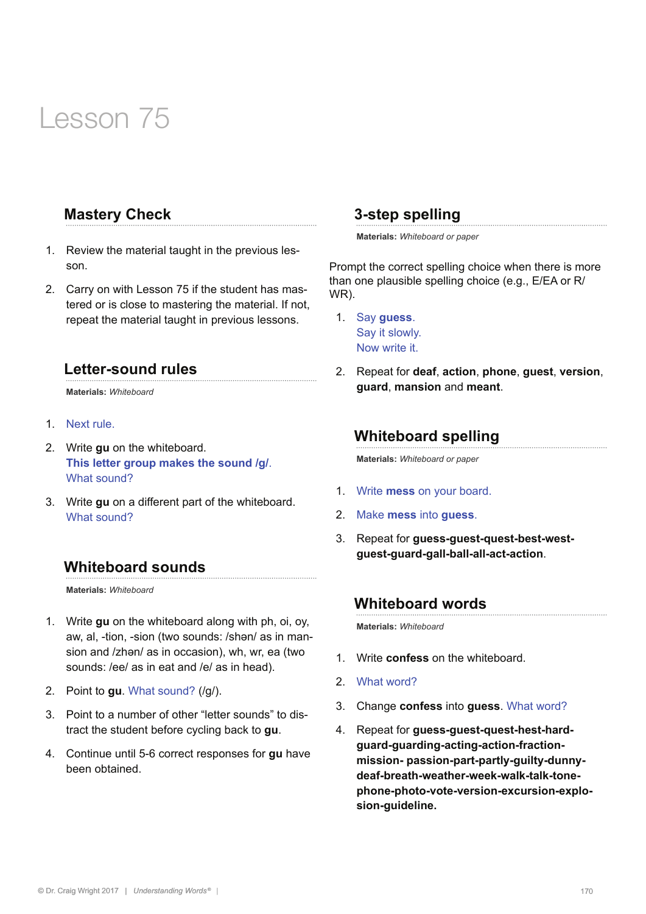# Lesson 75

# **Mastery Check**

- 1. Review the material taught in the previous lesson.
- 2. Carry on with Lesson 75 if the student has mastered or is close to mastering the material. If not, repeat the material taught in previous lessons.

#### **Letter-sound rules**

**Materials:** *Whiteboard* 

- 1. Next rule.
- 2. Write **gu** on the whiteboard. **This letter group makes the sound /g/**. What sound?
- 3. Write **gu** on a different part of the whiteboard. What sound?

# **Whiteboard sounds**

**Materials:** *Whiteboard* 

- 1. Write **gu** on the whiteboard along with ph, oi, oy, aw, al, -tion, -sion (two sounds: /shən/ as in mansion and /zhən/ as in occasion), wh, wr, ea (two sounds: /ee/ as in eat and /e/ as in head).
- 2. Point to **gu**. What sound? (/g/).
- 3. Point to a number of other "letter sounds" to distract the student before cycling back to **gu**.
- 4. Continue until 5-6 correct responses for **gu** have been obtained.

## **3-step spelling**

**Materials:** *Whiteboard or paper*

Prompt the correct spelling choice when there is more than one plausible spelling choice (e.g., E/EA or R/ WR).

- 1. Say **guess**. Say it slowly. Now write it.
- 2. Repeat for **deaf**, **action**, **phone**, **guest**, **version**, **guard**, **mansion** and **meant**.

## **Whiteboard spelling**

**Materials:** *Whiteboard or paper*

- 1. Write **mess** on your board.
- 2. Make **mess** into **guess**.
- 3. Repeat for **guess-guest-quest-best-westguest-guard-gall-ball-all-act-action**.

#### **Whiteboard words**

**Materials:** *Whiteboard*

- 1. Write **confess** on the whiteboard.
- 2. What word?
- 3. Change **confess** into **guess**. What word?
- 4. Repeat for **guess-guest-quest-hest-hardguard-guarding-acting-action-fractionmission- passion-part-partly-guilty-dunnydeaf-breath-weather-week-walk-talk-tonephone-photo-vote-version-excursion-explosion-guideline.**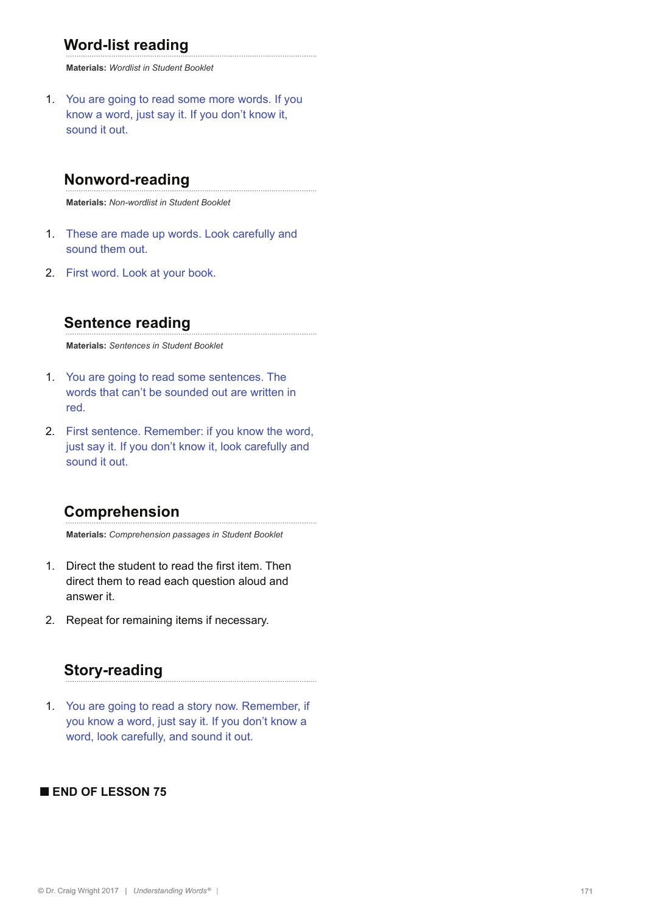# **Word-list reading**

**Materials:** *Wordlist in Student Booklet*

1. You are going to read some more words. If you know a word, just say it. If you don't know it, sound it out.

## **Nonword-reading**

**Materials:** *Non-wordlist in Student Booklet*

- 1. These are made up words. Look carefully and sound them out.
- 2. First word. Look at your book.

## **Sentence reading**

**Materials:** *Sentences in Student Booklet*

- 1. You are going to read some sentences. The words that can't be sounded out are written in red.
- 2. First sentence. Remember: if you know the word, just say it. If you don't know it, look carefully and sound it out.

#### **Comprehension**

**Materials:** *Comprehension passages in Student Booklet*

- 1. Direct the student to read the first item. Then direct them to read each question aloud and answer it.
- 2. Repeat for remaining items if necessary.

# **Story-reading**

1. You are going to read a story now. Remember, if you know a word, just say it. If you don't know a word, look carefully, and sound it out.

#### **■ END OF LESSON 75**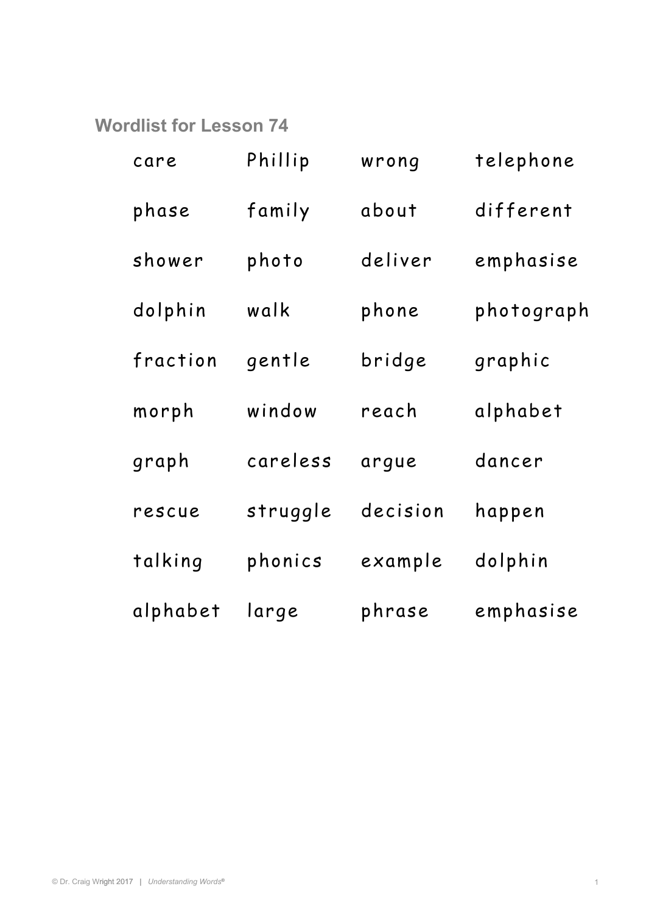**Wordlist for Lesson 74** 

| care     | Phillip  | wrong    | telephone  |
|----------|----------|----------|------------|
| phase    | family   | about    | different  |
| shower   | photo    | deliver  | emphasise  |
| dolphin  | walk     | phone    | photograph |
| fraction | gentle   | bridge   | graphic    |
| morph    | window   | reach    | alphabet   |
| graph    | careless | arque    | dancer     |
| rescue   | struggle | decision | happen     |
| talking  | phonics  | example  | dolphin    |
| alphabet | large    | phrase   | emphasise  |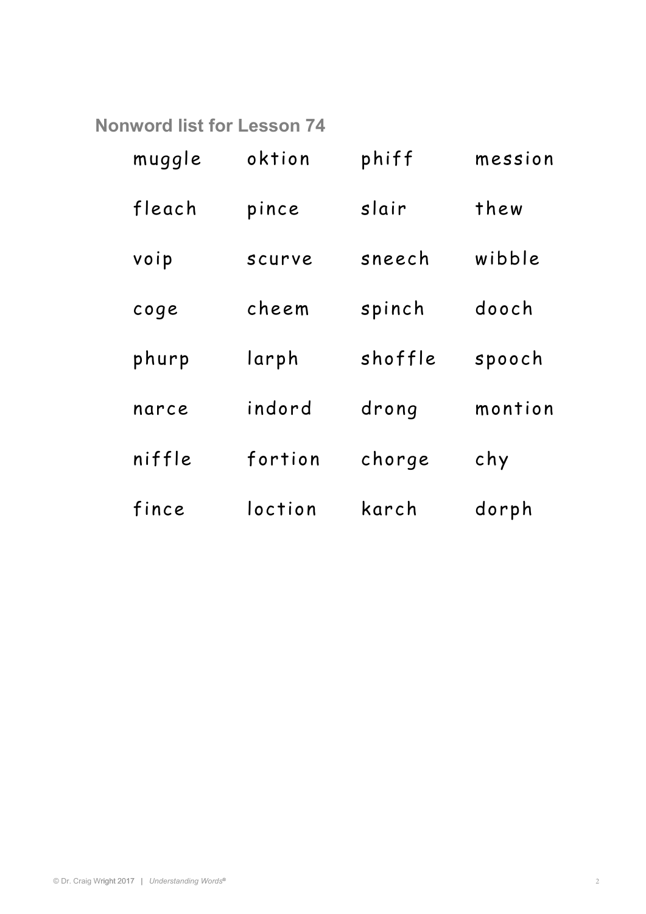**Nonword list for Lesson 74** 

| muggle | oktion  | phiff   | mession |
|--------|---------|---------|---------|
| fleach | pince   | slair   | thew    |
| voip   | scurve  | sneech  | wibble  |
| coge   | cheem   | spinch  | dooch   |
| phurp  | larph   | shoffle | spooch  |
| narce  | indord  | drong   | montion |
| niffle | fortion | chorge  | chy     |
| fince  | loction | karch   | dorph   |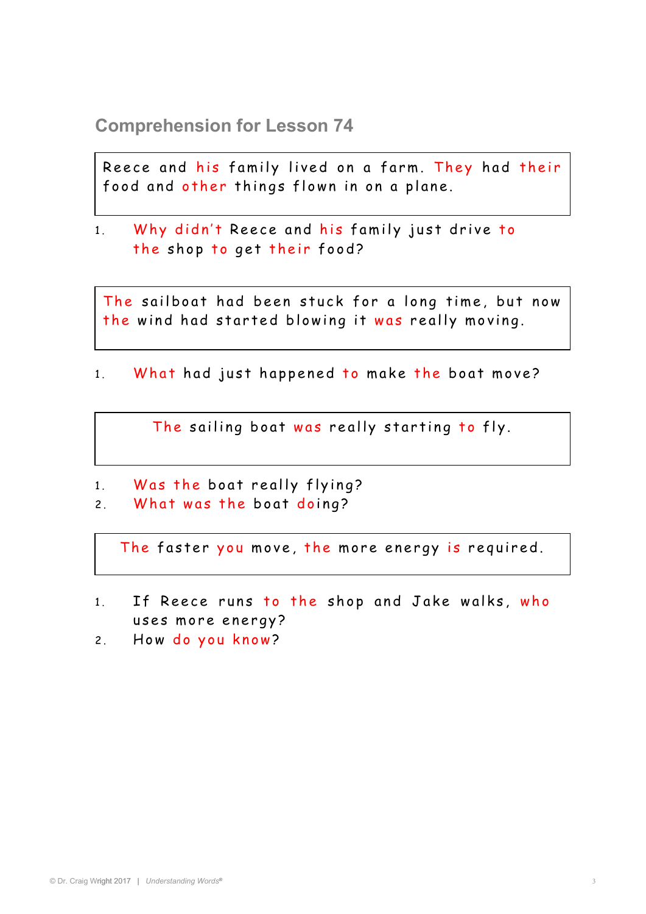**Comprehension for Lesson 74** 

Reece and his family lived on a farm. They had their food and other things flown in on a plane.

1. Why didn't Reece and his family just drive to the shop to get their food?

The sailboat had been stuck for a long time, but now the wind had started blowing it was really moving.

1. What had just happened to make the boat move?

The sailing boat was really starting to fly.

- 1. Was the boat really flying?
- 2. What was the boat doing?

The faster you move, the more energy is required.

- 1. If Reece runs to the shop and Jake walks, who uses more energy?
- 2. How do you know?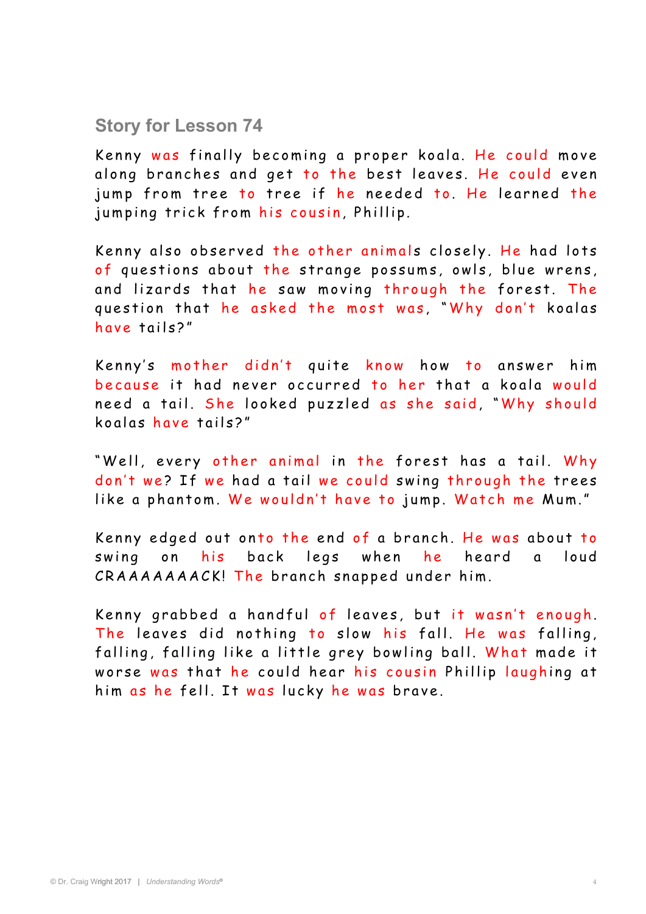## **Story for Lesson 74**

Kenny was finally becoming a proper koala. He could move along branches and get to the best leaves. He could even jump from tree to tree if he needed to. He learned the jumping trick from his cousin, Phillip.

Kenny also observed the other animals closely. He had lots of questions about the strange possums, owls, blue wrens, and lizards that he saw moving through the forest. The question that he asked the most was, "Why don't koalas have tails?"

Kenny's mother didn't quite know how to answer him because it had never occurred to her that a koala would need a tail. She looked puzzled as she said, "Why should koglas have tails?"

"Well, every other animal in the forest has a tail. Why don't we? If we had a tail we could swing through the trees like a phantom. We wouldn't have to jump. Watch me Mum."

Kenny edged out onto the end of a branch. He was about to swing on his back legs when he heard a loud CRAAAAAAACK! The branch snapped under him.

Kenny grabbed a handful of leaves, but it wasn't enough. The leaves did nothing to slow his fall. He was falling, falling, falling like a little grey bowling ball. What made it worse was that he could hear his cousin Phillip laughing at him as he fell. It was lucky he was brave.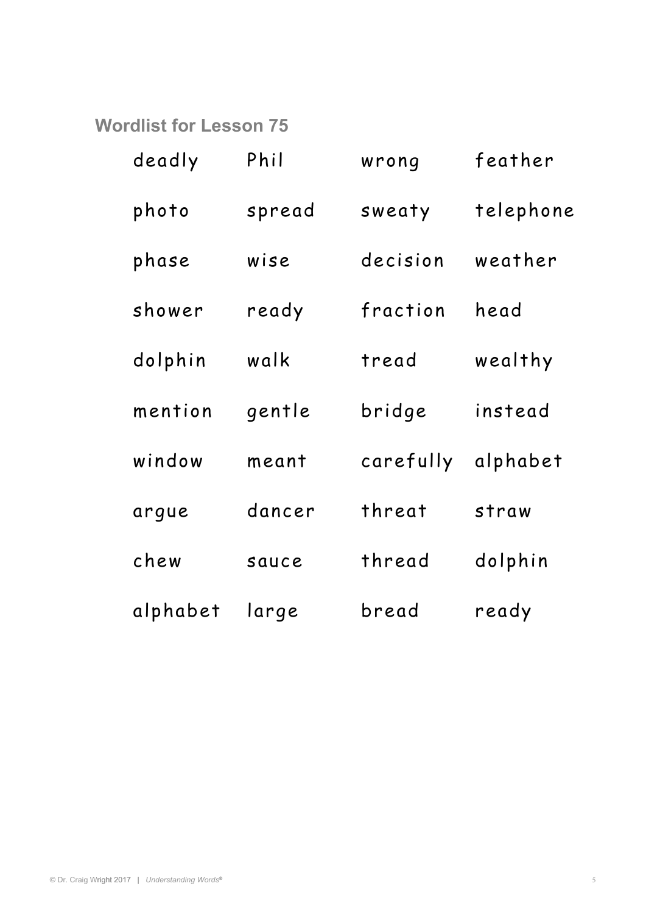**Wordlist for Lesson 75** 

| deadly   | Phil   | wrong     | feather   |
|----------|--------|-----------|-----------|
| photo    | spread | sweaty    | telephone |
| phase    | wise   | decision  | weather   |
| shower   | ready  | fraction  | head      |
| dolphin  | walk   | tread     | wealthy   |
| mention  | gentle | bridge    | instead   |
| window   | meant  | carefully | alphabet  |
| argue    | dancer | threat    | straw     |
| chew     | sauce  | thread    | dolphin   |
| alphabet | large  | bread     | ready     |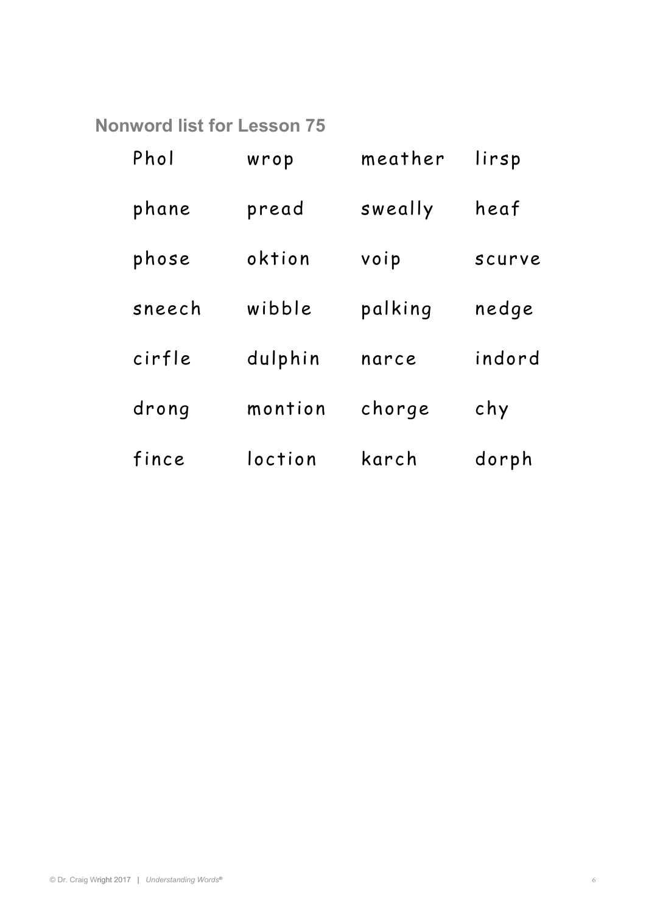**Nonword list for Lesson 75** 

| Phol   | wrop    | meather | lirsp  |
|--------|---------|---------|--------|
| phane  | pread   | sweally | heaf   |
| phose  | oktion  | voip    | scurve |
| sneech | wibble  | palking | nedge  |
| cirfle | dulphin | narce   | indord |
| drong  | montion | chorge  | chy    |
| fince  | loction | karch   | dorph  |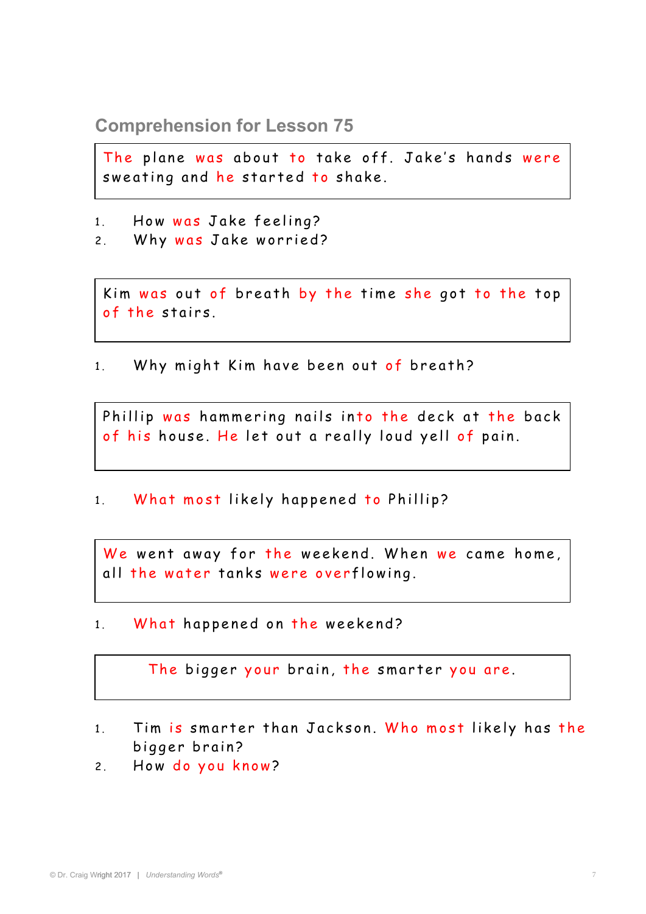**Comprehension for Lesson 75** 

The plane was about to take off. Jake's hands were sweating and he started to shake.

- 1. How was Jake feeling?
- 2. Why was Jake worried?

of the stairs. Kim was out of breath by the time she got to the top

1. Why might Kim have been out of breath?

Phillip was hammering nails into the deck at the back of his house. He let out a really loud yell of pain.

1. What most likely happened to Phillip?

We went away for the weekend. When we came home, all the water tanks were overflowing.

1. What happened on the weekend?

The bigger your brain, the smarter you are.

- 1. Tim is smarter than Jackson. Who most likely has the bigger brain?
- 2. How do you know?